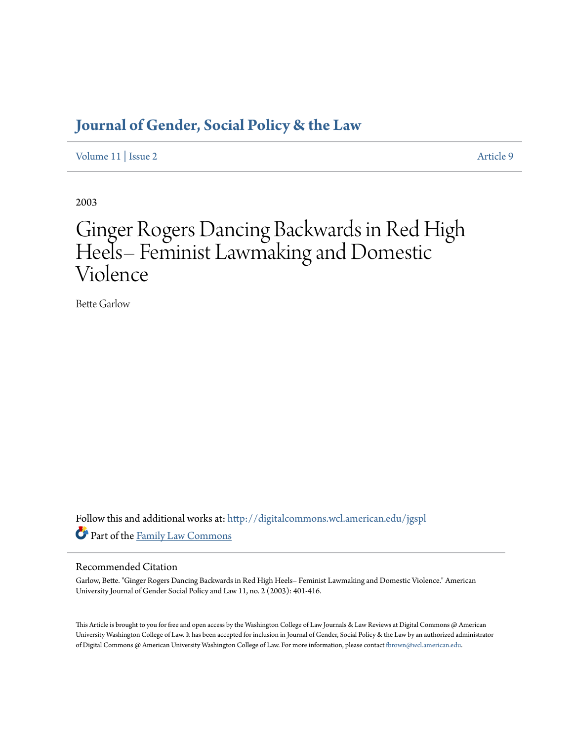# **[Journal of Gender, Social Policy & the Law](http://digitalcommons.wcl.american.edu/jgspl?utm_source=digitalcommons.wcl.american.edu%2Fjgspl%2Fvol11%2Fiss2%2F9&utm_medium=PDF&utm_campaign=PDFCoverPages)**

[Volume 11](http://digitalcommons.wcl.american.edu/jgspl/vol11?utm_source=digitalcommons.wcl.american.edu%2Fjgspl%2Fvol11%2Fiss2%2F9&utm_medium=PDF&utm_campaign=PDFCoverPages) | [Issue 2](http://digitalcommons.wcl.american.edu/jgspl/vol11/iss2?utm_source=digitalcommons.wcl.american.edu%2Fjgspl%2Fvol11%2Fiss2%2F9&utm_medium=PDF&utm_campaign=PDFCoverPages) [Article 9](http://digitalcommons.wcl.american.edu/jgspl/vol11/iss2/9?utm_source=digitalcommons.wcl.american.edu%2Fjgspl%2Fvol11%2Fiss2%2F9&utm_medium=PDF&utm_campaign=PDFCoverPages)

2003

# Ginger Rogers Dancing Backwards in Red High Heels– Feminist Lawmaking and Domestic Violence

Bette Garlow

Follow this and additional works at: [http://digitalcommons.wcl.american.edu/jgspl](http://digitalcommons.wcl.american.edu/jgspl?utm_source=digitalcommons.wcl.american.edu%2Fjgspl%2Fvol11%2Fiss2%2F9&utm_medium=PDF&utm_campaign=PDFCoverPages) Part of the [Family Law Commons](http://network.bepress.com/hgg/discipline/602?utm_source=digitalcommons.wcl.american.edu%2Fjgspl%2Fvol11%2Fiss2%2F9&utm_medium=PDF&utm_campaign=PDFCoverPages)

### Recommended Citation

Garlow, Bette. "Ginger Rogers Dancing Backwards in Red High Heels– Feminist Lawmaking and Domestic Violence." American University Journal of Gender Social Policy and Law 11, no. 2 (2003): 401-416.

This Article is brought to you for free and open access by the Washington College of Law Journals & Law Reviews at Digital Commons @ American University Washington College of Law. It has been accepted for inclusion in Journal of Gender, Social Policy & the Law by an authorized administrator of Digital Commons @ American University Washington College of Law. For more information, please contact [fbrown@wcl.american.edu.](mailto:fbrown@wcl.american.edu)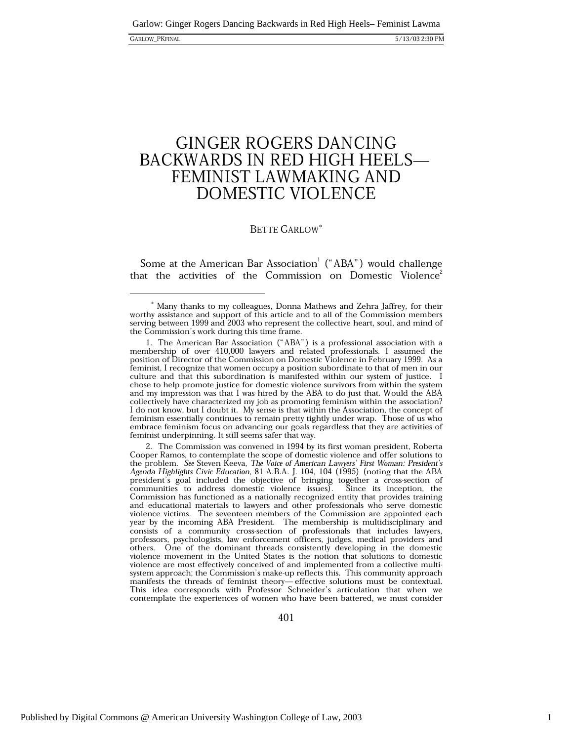## **GINGER ROGERS DANCING** BACKWARDS IN RED HIGH HEELS-FEMINIST LAWMAKING AND **DOMESTIC VIOLENCE**

### **BETTE GARLOW**\*

Some at the American Bar Association<sup>1</sup> ("ABA") would challenge that the activities of the Commission on Domestic Violence<sup>2</sup>

1. The American Bar Association ("ABA") is a professional association with a membership of over 410,000 lawyers and related professionals. I assumed the position of Director of the Commission on Domestic Violence in February 1999. As a feminist, I recognize that women occupy a position subordinate to that of men in our culture and that this subordination is manifested within our system of justice. I chose to help promote justice for domestic violence survivors from within the system and my impression was that I was hired by the ABA to do just that. Would the ABA collectively have characterized my job as promoting feminism within the association? I do not know, but I doubt it. My sense is that within the Association, the concept of feminism essentially continues to remain pretty tightly under wrap. Those of us who embrace feminism focus on advancing our goals regardless that they are activities of feminist underpinning. It still seems safer that way.

2. The Commission was convened in 1994 by its first woman president, Roberta Cooper Ramos, to contemplate the scope of domestic violence and offer solutions to the problem. See Steven Keeva, The Voice of American Lawyers' First Woman: President's Agenda Highlights Civic Education, 81 A.B.A. J. 104, 104 (1995) (noting that the ABA president's goal included the objective of bringing together a cross-section of<br>communities to address domestic violence issues). Since its inception, the Commission has functioned as a nationally recognized entity that provides training and educational materials to lawyers and other professionals who serve domestic violence victims. The seventeen members of the Commission are appointed each year by the incoming ABA President. The membership is multidisciplinary and consists of a community cross-section of professionals that includes lawyers, professors, psychologists, law enforcement officers, judges, medical providers and others. One of the dominant threads consistently developing in the domestic violence movement in the United States is the notion that solutions to domestic violence are most effectively conceived of and implemented from a collective multisystem approach; the Commission's make-up reflects this. This community approach manifests the threads of feminist theory-effective solutions must be contextual. This idea corresponds with Professor Schneider's articulation that when we contemplate the experiences of women who have been battered, we must consider

<sup>\*</sup> Many thanks to my colleagues, Donna Mathews and Zehra Jaffrey, for their worthy assistance and support of this article and to all of the Commission members serving between 1999 and 2003 who represent the collective heart, soul, and mind of the Commission's work during this time frame.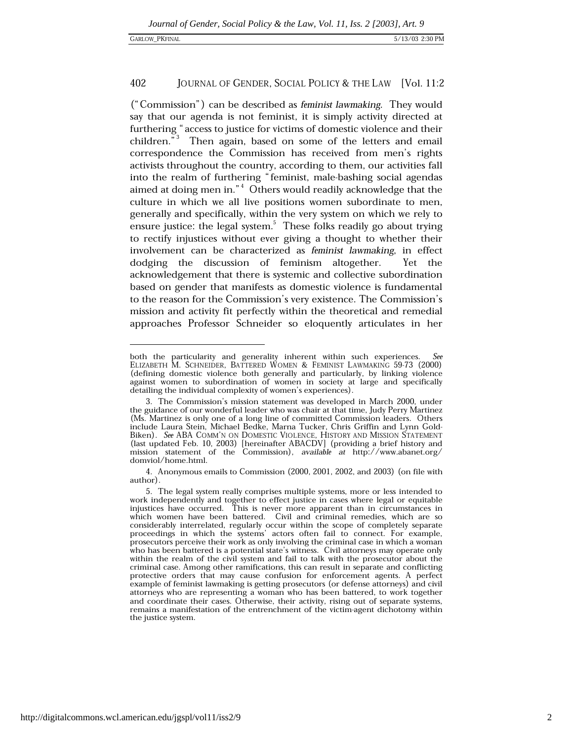("Commission") can be described as *feminist lawmaking*. They would say that our agenda is not feminist, it is simply activity directed at furthering "access to justice for victims of domestic violence and their children."<sup>3</sup> Then again, based on some of the letters and email correspondence the Commission has received from men's rights activists throughout the country, according to them, our activities fall into the realm of furthering "feminist, male-bashing social agendas aimed at doing men in."<sup>4</sup> Others would readily acknowledge that the culture in which we all live positions women subordinate to men, generally and specifically, within the very system on which we rely to ensure justice: the legal system. $5$  These folks readily go about trying to rectify injustices without ever giving a thought to whether their involvement can be characterized as feminist lawmaking, in effect dodging the discussion of feminism altogether. Yet the acknowledgement that there is systemic and collective subordination based on gender that manifests as domestic violence is fundamental to the reason for the Commission's very existence. The Commission's mission and activity fit perfectly within the theoretical and remedial approaches Professor Schneider so eloquently articulates in her

both the particularity and generality inherent within such experiences. **See** ELIZABETH M. SCHNEIDER, BATTERED WOMEN & FEMINIST LAWMAKING 59-73 (2000) (defining domestic violence both generally and particularly, by linking violence against women to subordination of women in society at large and specifically detailing the individual complexity of women's experiences).

<sup>3.</sup> The Commission's mission statement was developed in March 2000, under the guidance of our wonderful leader who was chair at that time, Judy Perry Martinez (Ms. Martinez is only one of a long line of committed Commission leaders. Others include Laura Stein, Michael Bedke, Marna Tucker, Chris Griffin and Lynn Gold-Biken). See ABA COMM'N ON DOMESTIC VIOLENCE, HISTORY AND MISSION STATEMENT (last updated Feb. 10, 2003) [hereinafter ABACDV] (providing a brief history and mission statement of the Commission), available at http://www.abanet.org/ domviol/home.html.

<sup>4.</sup> Anonymous emails to Commission (2000, 2001, 2002, and 2003) (on file with author).

<sup>5.</sup> The legal system really comprises multiple systems, more or less intended to work independently and together to effect justice in cases where legal or equitable injustices have occurred. This is never more apparent than in circumstances in injustices have occurred. which women have been battered. Civil and criminal remedies, which are so considerably interrelated, regularly occur within the scope of completely separate proceedings in which the systems' actors often fail to connect. For example, prosecutors perceive their work as only involving the criminal case in which a woman who has been battered is a potential state's witness. Civil attorneys may operate only within the realm of the civil system and fail to talk with the prosecutor about the criminal case. Among other ramifications, this can result in separate and conflicting protective orders that may cause confusion for enforcement agents. A perfect example of feminist lawmaking is getting prosecutors (or defense attorneys) and civil attorneys who are representing a woman who has been battered, to work together and coordinate their cases. Otherwise, their activity, rising out of separate systems, remains a manifestation of the entrenchment of the victim-agent dichotomy within the justice system.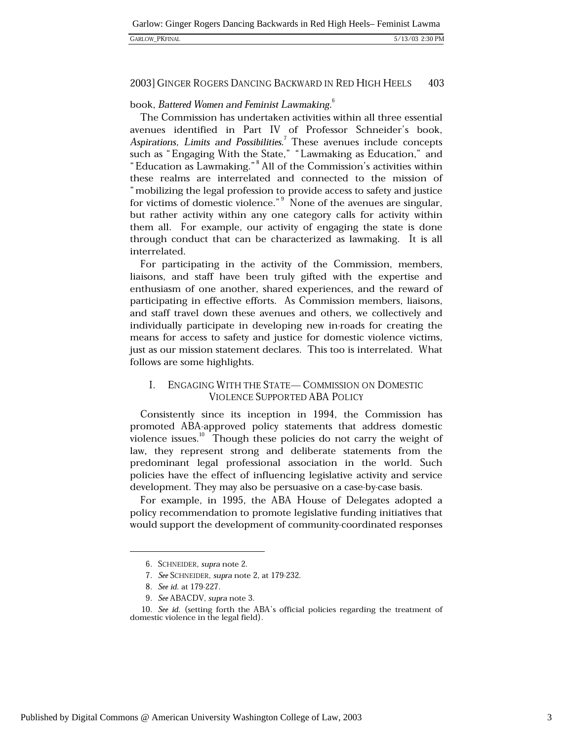5/13/03 2:30 PM

### **GARLOW PKFINAL**

#### 2003] GINGER ROGERS DANCING BACKWARD IN RED HIGH HEELS 403

### book, Battered Women and Feminist Lawmaking.<sup>6</sup>

The Commission has undertaken activities within all three essential avenues identified in Part IV of Professor Schneider's book, Aspirations, Limits and Possibilities.<sup>7</sup> These avenues include concepts such as "Engaging With the State," "Lawmaking as Education," and "Education as Lawmaking."<sup>8</sup> All of the Commission's activities within these realms are interrelated and connected to the mission of "mobilizing the legal profession to provide access to safety and justice for victims of domestic violence."<sup>9</sup> None of the avenues are singular, but rather activity within any one category calls for activity within them all. For example, our activity of engaging the state is done through conduct that can be characterized as lawmaking. It is all interrelated.

For participating in the activity of the Commission, members, liaisons, and staff have been truly gifted with the expertise and enthusiasm of one another, shared experiences, and the reward of participating in effective efforts. As Commission members, liaisons, and staff travel down these avenues and others, we collectively and individually participate in developing new in-roads for creating the means for access to safety and justice for domestic violence victims, just as our mission statement declares. This too is interrelated. What follows are some highlights.

#### I. ENGAGING WITH THE STATE-COMMISSION ON DOMESTIC **VIOLENCE SUPPORTED ABA POLICY**

Consistently since its inception in 1994, the Commission has promoted ABA-approved policy statements that address domestic violence issues.<sup>10</sup> Though these policies do not carry the weight of law, they represent strong and deliberate statements from the predominant legal professional association in the world. Such policies have the effect of influencing legislative activity and service development. They may also be persuasive on a case-by-case basis.

For example, in 1995, the ABA House of Delegates adopted a policy recommendation to promote legislative funding initiatives that would support the development of community-coordinated responses

<sup>6.</sup> SCHNEIDER, supra note 2.

<sup>7.</sup> See SCHNEIDER, supra note 2, at 179-232.

<sup>8.</sup> See id. at 179-227.

<sup>9.</sup> See ABACDV, supra note 3.

<sup>10.</sup> See id. (setting forth the ABA's official policies regarding the treatment of domestic violence in the legal field).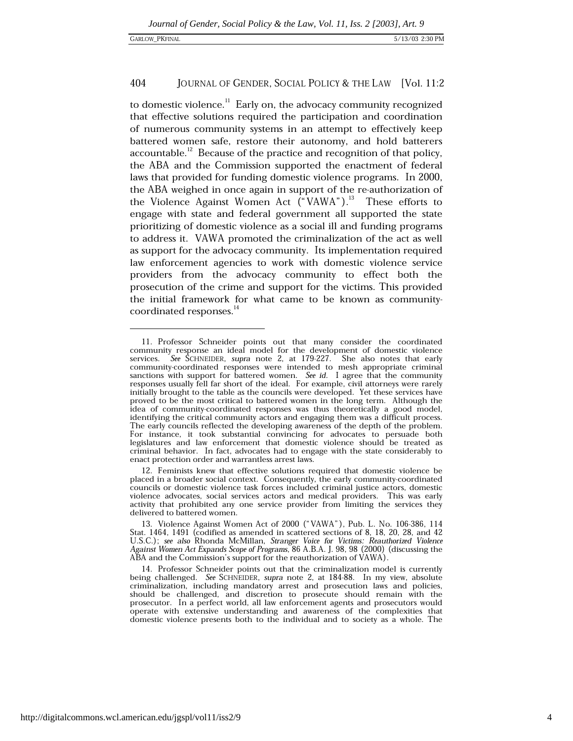to domestic violence.<sup>11</sup> Early on, the advocacy community recognized that effective solutions required the participation and coordination of numerous community systems in an attempt to effectively keep battered women safe, restore their autonomy, and hold batterers accountable.<sup>12</sup> Because of the practice and recognition of that policy, the ABA and the Commission supported the enactment of federal laws that provided for funding domestic violence programs. In 2000, the ABA weighed in once again in support of the re-authorization of the Violence Against Women Act ("VAWA").<sup>13</sup> These efforts to engage with state and federal government all supported the state prioritizing of domestic violence as a social ill and funding programs to address it. VAWA promoted the criminalization of the act as well as support for the advocacy community. Its implementation required law enforcement agencies to work with domestic violence service providers from the advocacy community to effect both the prosecution of the crime and support for the victims. This provided the initial framework for what came to be known as communitycoordinated responses.<sup>14</sup>

<sup>11.</sup> Professor Schneider points out that many consider the coordinated community response an ideal model for the development of domestic violence services. See SCHNEIDER, supra note 2, at 179-227. She also notes that early community-coordinated responses were intended to mesh appropriate criminal sanctions with support for battered women. See id. I agree that the community responses usually fell far short of the ideal. For example, civil attorneys were rarely initially brought to the table as the councils were developed. Yet these services have proved to be the most critical to battered women in the long term. Although the idea of community-coordinated responses was thus theoretically a good model, identifying the critical community actors and engaging them was a difficult process. The early councils reflected the developing awareness of the depth of the problem. For instance, it took substantial convincing for advocates to persuade both legislatures and law enforcement that domestic violence should be treated as criminal behavior. In fact, advocates had to engage with the state considerably to enact protection order and warrantless arrest laws.

<sup>12.</sup> Feminists knew that effective solutions required that domestic violence be placed in a broader social context. Consequently, the early community-coordinated councils or domestic violence task forces included criminal justice actors, domestic violence advocates, social services actors and medical providers. This was early activity that prohibited any one service provider from limiting the services they delivered to battered women.

<sup>13.</sup> Violence Against Women Act of 2000 ("VAWA"), Pub. L. No. 106-386, 114 Stat. 1464, 1491 (codified as amended in scattered sections of 8, 18, 20, 28, and 42 U.S.C.); see also Rhonda McMillan, Stranger Voice for Victims: Reauthorized Violence Against Women Act Expands Scope of Programs, 86 A.B.A. J. 98, 98 (2000) (discussing the ABA and the Commission's support for the reauthorization of VAWA).

<sup>14.</sup> Professor Schneider points out that the criminalization model is currently being challenged. See SCHNEIDER, supra note 2, at 184-88. In my view, absolute criminalization, including mandatory arrest and prosecution laws and policies, should be challenged, and discretion to prosecute should remain with the prosecutor. In a perfect world, all law enforcement agents and prosecutors would operate with extensive understanding and awareness of the complexities that domestic violence presents both to the individual and to society as a whole. The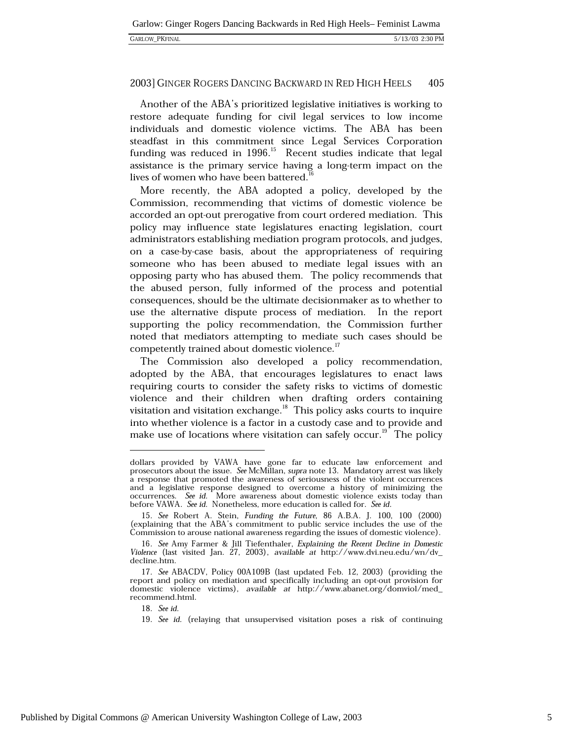Another of the ABA's prioritized legislative initiatives is working to restore adequate funding for civil legal services to low income individuals and domestic violence victims. The ABA has been steadfast in this commitment since Legal Services Corporation funding was reduced in 1996.<sup>15</sup> Recent studies indicate that legal assistance is the primary service having a long-term impact on the lives of women who have been battered.

More recently, the ABA adopted a policy, developed by the Commission, recommending that victims of domestic violence be accorded an opt-out prerogative from court ordered mediation. This policy may influence state legislatures enacting legislation, court administrators establishing mediation program protocols, and judges, on a case-by-case basis, about the appropriateness of requiring someone who has been abused to mediate legal issues with an opposing party who has abused them. The policy recommends that the abused person, fully informed of the process and potential consequences, should be the ultimate decisionmaker as to whether to use the alternative dispute process of mediation. In the report supporting the policy recommendation, the Commission further noted that mediators attempting to mediate such cases should be competently trained about domestic violence."

The Commission also developed a policy recommendation, adopted by the ABA, that encourages legislatures to enact laws requiring courts to consider the safety risks to victims of domestic violence and their children when drafting orders containing visitation and visitation exchange.<sup>18</sup> This policy asks courts to inquire into whether violence is a factor in a custody case and to provide and make use of locations where visitation can safely occur.<sup>19</sup> The policy

18. See id.

dollars provided by VAWA have gone far to educate law enforcement and prosecutors about the issue. See McMillan, supra note 13. Mandatory arrest was likely a response that promoted the awareness of seriousness of the violent occurrences and a legislative response designed to overcome a history of minimizing the occurrences. See id. More awareness about domestic violence exists today than before VAWA. See id. Nonetheless, more education is called for. See id.

<sup>15.</sup> See Robert A. Stein, Funding the Future, 86 A.B.A. J. 100, 100 (2000) (explaining that the ABA's commitment to public service includes the use of the Commission to arouse national awareness regarding the issues of domestic violence).

<sup>16.</sup> See Amy Farmer & Jill Tiefenthaler, Explaining the Recent Decline in Domestic Violence (last visited Jan. 27, 2003), available at http://www.dvi.neu.edu/wn/dv\_ decline.htm.

<sup>17.</sup> See ABACDV, Policy 00A109B (last updated Feb. 12, 2003) (providing the report and policy on mediation and specifically including an opt-out provision for domestic violence victims), available at http://www.abanet.org/domviol/med\_ recommend.html.

<sup>19.</sup> See id. (relaying that unsupervised visitation poses a risk of continuing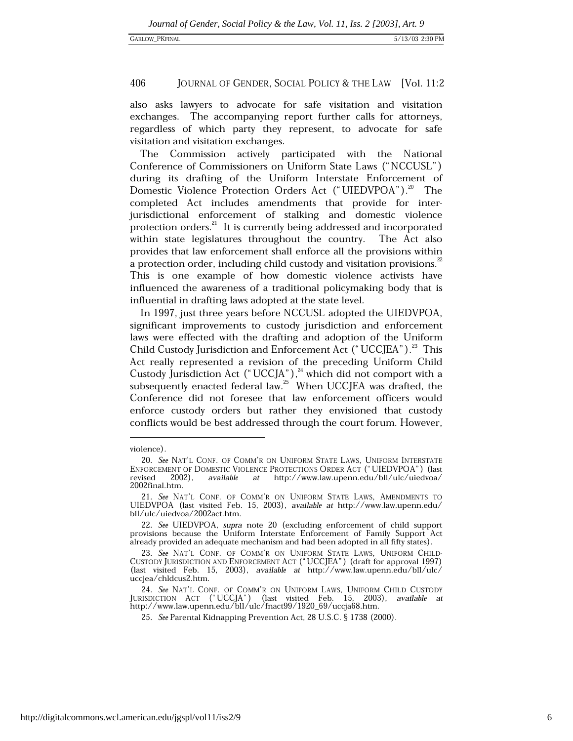also asks lawyers to advocate for safe visitation and visitation exchanges. The accompanying report further calls for attorneys, regardless of which party they represent, to advocate for safe visitation and visitation exchanges.

The Commission actively participated with the National Conference of Commissioners on Uniform State Laws ("NCCUSL") during its drafting of the Uniform Interstate Enforcement of Domestic Violence Protection Orders Act ("UIEDVPOA").<sup>20</sup> The completed Act includes amendments that provide for interjurisdictional enforcement of stalking and domestic violence protection orders.<sup>21</sup> It is currently being addressed and incorporated within state legislatures throughout the country. The Act also provides that law enforcement shall enforce all the provisions within a protection order, including child custody and visitation provisions.<sup>22</sup> This is one example of how domestic violence activists have influenced the awareness of a traditional policymaking body that is influential in drafting laws adopted at the state level.

In 1997, just three years before NCCUSL adopted the UIEDVPOA, significant improvements to custody jurisdiction and enforcement laws were effected with the drafting and adoption of the Uniform Child Custody Jurisdiction and Enforcement Act ("UCCJEA").<sup>23</sup> This Act really represented a revision of the preceding Uniform Child Custody Jurisdiction Act ("UCCJA"),<sup>24</sup> which did not comport with a subsequently enacted federal law.<sup>25</sup> When UCCJEA was drafted, the Conference did not foresee that law enforcement officers would enforce custody orders but rather they envisioned that custody conflicts would be best addressed through the court forum. However,

violence).

<sup>20.</sup> See NAT'L CONF. OF COMM'R ON UNIFORM STATE LAWS, UNIFORM INTERSTATE ENFORCEMENT OF DOMESTIC VIOLENCE PROTECTIONS ORDER ACT ("UIEDVPOA") (last  $2002$ ), at http://www.law.upenn.edu/bll/ulc/uiedvoa/ heziver available 2002final.htm.

<sup>21.</sup> See NAT'L CONF. OF COMM'R ON UNIFORM STATE LAWS, AMENDMENTS TO UIEDVPOA (last visited Feb. 15, 2003), available at http://www.law.upenn.edu/ bll/ulc/uiedvoa/2002act.htm.

<sup>22.</sup> See UIEDVPOA, supra note 20 (excluding enforcement of child support provisions because the Uniform Interstate Enforcement of Family Support Act already provided an adequate mechanism and had been adopted in all fifty states).

<sup>23.</sup> See NAT'L CONF. OF COMM'R ON UNIFORM STATE LAWS, UNIFORM CHILD-CUSTODY JURISDICTION AND ENFORCEMENT ACT ("UCCJEA") (draft for approval 1997) (last visited Feb. 15, 2003), available at http://www.law.upenn.edu/bll/ulc/ uccjea/chldcus2.htm.

<sup>24.</sup> See NAT'L CONF. OF COMM'R ON UNIFORM LAWS, UNIFORM CHILD CUSTODY JURISDICTION ACT ("UCCJA") (last visited Feb. 15, 2003), available at<br>http://www.law.upenn.edu/bll/ulc/fnact99/1920\_69/uccja68.htm.

<sup>25.</sup> See Parental Kidnapping Prevention Act, 28 U.S.C. § 1738 (2000).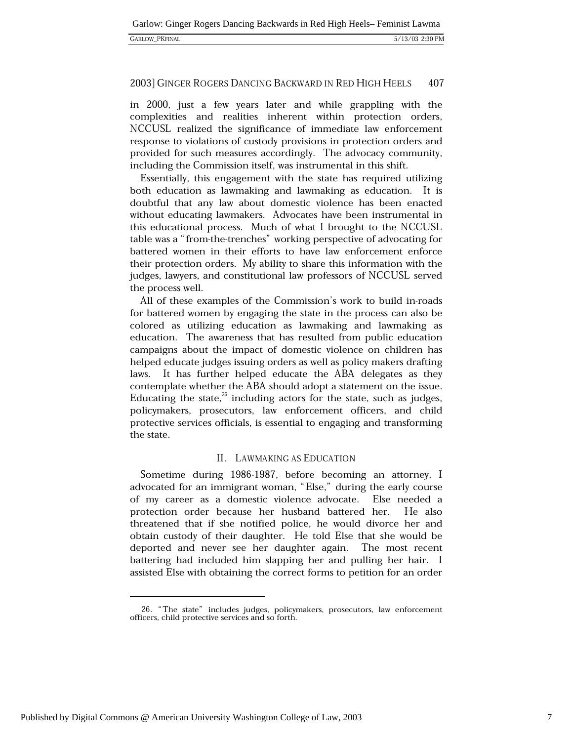#### 2003] GINGER ROGERS DANCING BACKWARD IN RED HIGH HEELS 407

in 2000, just a few years later and while grappling with the complexities and realities inherent within protection orders, NCCUSL realized the significance of immediate law enforcement response to violations of custody provisions in protection orders and provided for such measures accordingly. The advocacy community, including the Commission itself, was instrumental in this shift.

Essentially, this engagement with the state has required utilizing both education as lawmaking and lawmaking as education. It is doubtful that any law about domestic violence has been enacted without educating lawmakers. Advocates have been instrumental in this educational process. Much of what I brought to the NCCUSL table was a "from-the-trenches" working perspective of advocating for battered women in their efforts to have law enforcement enforce their protection orders. My ability to share this information with the judges, lawyers, and constitutional law professors of NCCUSL served the process well.

All of these examples of the Commission's work to build in-roads for battered women by engaging the state in the process can also be colored as utilizing education as lawmaking and lawmaking as education. The awareness that has resulted from public education campaigns about the impact of domestic violence on children has helped educate judges issuing orders as well as policy makers drafting laws. It has further helped educate the ABA delegates as they contemplate whether the ABA should adopt a statement on the issue. Educating the state, $^{26}$  including actors for the state, such as judges, policymakers, prosecutors, law enforcement officers, and child protective services officials, is essential to engaging and transforming the state.

### II. LAWMAKING AS EDUCATION

Sometime during 1986-1987, before becoming an attorney, I advocated for an immigrant woman, "Else," during the early course of my career as a domestic violence advocate. Else needed a protection order because her husband battered her. He also threatened that if she notified police, he would divorce her and obtain custody of their daughter. He told Else that she would be deported and never see her daughter again. The most recent battering had included him slapping her and pulling her hair. I assisted Else with obtaining the correct forms to petition for an order

<sup>26. &</sup>quot;The state" includes judges, policymakers, prosecutors, law enforcement officers, child protective services and so forth.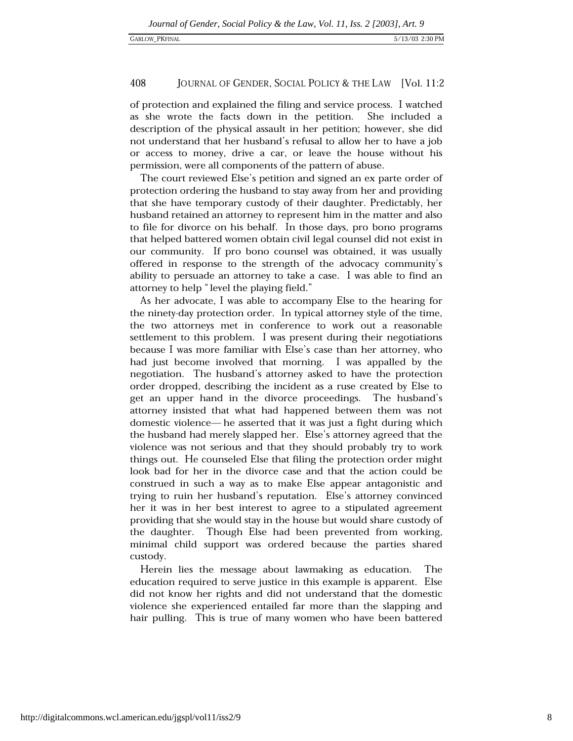#### 408 JOURNAL OF GENDER, SOCIAL POLICY & THE LAW [Vol. 11:2

of protection and explained the filing and service process. I watched as she wrote the facts down in the petition. She included a description of the physical assault in her petition; however, she did not understand that her husband's refusal to allow her to have a job or access to money, drive a car, or leave the house without his permission, were all components of the pattern of abuse.

The court reviewed Else's petition and signed an ex parte order of protection ordering the husband to stay away from her and providing that she have temporary custody of their daughter. Predictably, her husband retained an attorney to represent him in the matter and also to file for divorce on his behalf. In those days, pro bono programs that helped battered women obtain civil legal counsel did not exist in our community. If pro bono counsel was obtained, it was usually offered in response to the strength of the advocacy community's ability to persuade an attorney to take a case. I was able to find an attorney to help "level the playing field."

As her advocate, I was able to accompany Else to the hearing for the ninety-day protection order. In typical attorney style of the time, the two attorneys met in conference to work out a reasonable settlement to this problem. I was present during their negotiations because I was more familiar with Else's case than her attorney, who had just become involved that morning. I was appalled by the negotiation. The husband's attorney asked to have the protection order dropped, describing the incident as a ruse created by Else to get an upper hand in the divorce proceedings. The husband's attorney insisted that what had happened between them was not domestic violence— he asserted that it was just a fight during which the husband had merely slapped her. Else's attorney agreed that the violence was not serious and that they should probably try to work things out. He counseled Else that filing the protection order might look bad for her in the divorce case and that the action could be construed in such a way as to make Else appear antagonistic and trying to ruin her husband's reputation. Else's attorney convinced her it was in her best interest to agree to a stipulated agreement providing that she would stay in the house but would share custody of Though Else had been prevented from working, the daughter. minimal child support was ordered because the parties shared custody.

Herein lies the message about lawmaking as education. The education required to serve justice in this example is apparent. Else did not know her rights and did not understand that the domestic violence she experienced entailed far more than the slapping and hair pulling. This is true of many women who have been battered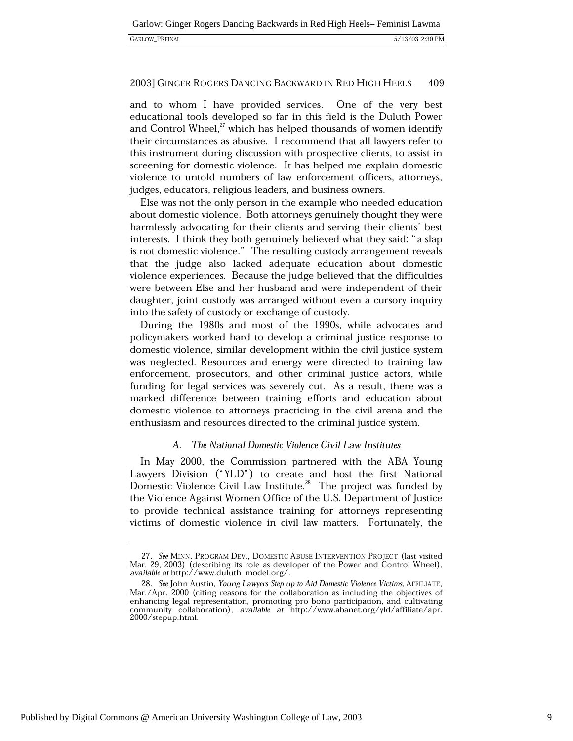| <b>GARLOW PKFINAL</b> |  |
|-----------------------|--|
|                       |  |

and to whom I have provided services. One of the very best educational tools developed so far in this field is the Duluth Power and Control Wheel,<sup>27</sup> which has helped thousands of women identify their circumstances as abusive. I recommend that all lawyers refer to this instrument during discussion with prospective clients, to assist in screening for domestic violence. It has helped me explain domestic violence to untold numbers of law enforcement officers, attorneys, judges, educators, religious leaders, and business owners.

Else was not the only person in the example who needed education about domestic violence. Both attorneys genuinely thought they were harmlessly advocating for their clients and serving their clients' best interests. I think they both genuinely believed what they said: "a slap is not domestic violence." The resulting custody arrangement reveals that the judge also lacked adequate education about domestic violence experiences. Because the judge believed that the difficulties were between Else and her husband and were independent of their daughter, joint custody was arranged without even a cursory inquiry into the safety of custody or exchange of custody.

During the 1980s and most of the 1990s, while advocates and policymakers worked hard to develop a criminal justice response to domestic violence, similar development within the civil justice system was neglected. Resources and energy were directed to training law enforcement, prosecutors, and other criminal justice actors, while funding for legal services was severely cut. As a result, there was a marked difference between training efforts and education about domestic violence to attorneys practicing in the civil arena and the enthusiasm and resources directed to the criminal justice system.

### A. The National Domestic Violence Civil Law Institutes

In May 2000, the Commission partnered with the ABA Young Lawyers Division ("YLD") to create and host the first National Domestic Violence Civil Law Institute.<sup>28</sup> The project was funded by the Violence Against Women Office of the U.S. Department of Justice to provide technical assistance training for attorneys representing victims of domestic violence in civil law matters. Fortunately, the

<sup>27.</sup> See MINN. PROGRAM DEV., DOMESTIC ABUSE INTERVENTION PROJECT (last visited Mar. 29, 2003) (describing its role as developer of the Power and Control Wheel), available at http://www.duluth\_model.org/.

<sup>28.</sup> See John Austin, Young Lawyers Step up to Aid Domestic Violence Victims, AFFILIATE, Mar./Apr. 2000 (citing reasons for the collaboration as including the objectives of enhancing legal representation, promoting pro bono participation, and cultivating community collaboration), available at http://www.abanet.org/yld/affiliate/apr. 2000/stepup.html.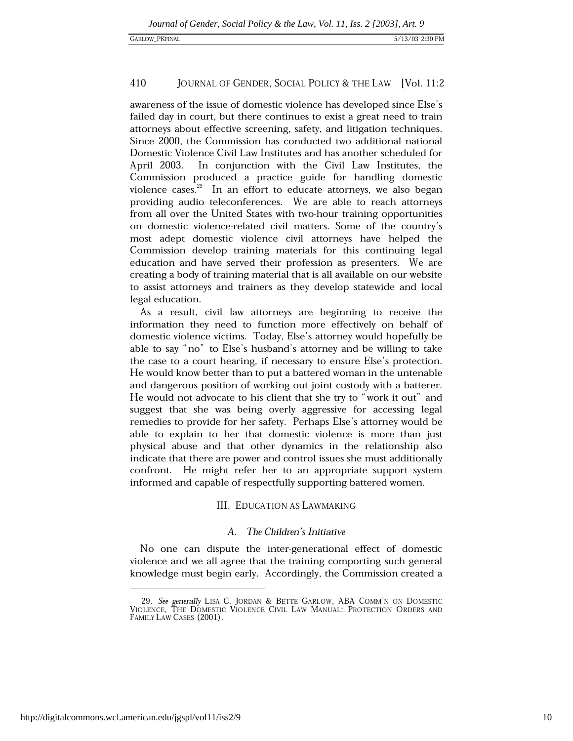awareness of the issue of domestic violence has developed since Else's failed day in court, but there continues to exist a great need to train attorneys about effective screening, safety, and litigation techniques. Since 2000, the Commission has conducted two additional national Domestic Violence Civil Law Institutes and has another scheduled for In conjunction with the Civil Law Institutes, the April 2003. Commission produced a practice guide for handling domestic violence cases.<sup>29</sup> In an effort to educate attorneys, we also began providing audio teleconferences. We are able to reach attorneys from all over the United States with two-hour training opportunities on domestic violence-related civil matters. Some of the country's most adept domestic violence civil attorneys have helped the Commission develop training materials for this continuing legal education and have served their profession as presenters. We are creating a body of training material that is all available on our website to assist attorneys and trainers as they develop statewide and local legal education.

As a result, civil law attorneys are beginning to receive the information they need to function more effectively on behalf of domestic violence victims. Today, Else's attorney would hopefully be able to say "no" to Else's husband's attorney and be willing to take the case to a court hearing, if necessary to ensure Else's protection. He would know better than to put a battered woman in the untenable and dangerous position of working out joint custody with a batterer. He would not advocate to his client that she try to "work it out" and suggest that she was being overly aggressive for accessing legal remedies to provide for her safety. Perhaps Else's attorney would be able to explain to her that domestic violence is more than just physical abuse and that other dynamics in the relationship also indicate that there are power and control issues she must additionally confront. He might refer her to an appropriate support system informed and capable of respectfully supporting battered women.

### **III. EDUCATION AS LAWMAKING**

#### $A_{\cdot}$ The Children's Initiative

No one can dispute the inter-generational effect of domestic violence and we all agree that the training comporting such general knowledge must begin early. Accordingly, the Commission created a

<sup>29.</sup> See generally LISA C. JORDAN & BETTE GARLOW, ABA COMM'N ON DOMESTIC VIOLENCE, THE DOMESTIC VIOLENCE CIVIL LAW MANUAL: PROTECTION ORDERS AND FAMILY LAW CASES (2001).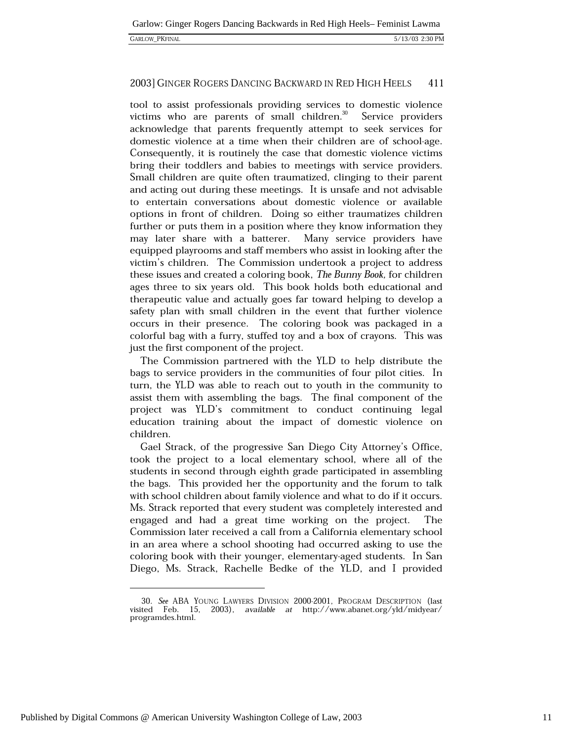#### 2003] GINGER ROGERS DANCING BACKWARD IN RED HIGH HEELS 411

tool to assist professionals providing services to domestic violence victims who are parents of small children.<sup>30</sup> Service providers acknowledge that parents frequently attempt to seek services for domestic violence at a time when their children are of school-age. Consequently, it is routinely the case that domestic violence victims bring their toddlers and babies to meetings with service providers. Small children are quite often traumatized, clinging to their parent and acting out during these meetings. It is unsafe and not advisable to entertain conversations about domestic violence or available options in front of children. Doing so either traumatizes children further or puts them in a position where they know information they may later share with a batterer. Many service providers have equipped playrooms and staff members who assist in looking after the victim's children. The Commission undertook a project to address these issues and created a coloring book, The Bunny Book, for children ages three to six years old. This book holds both educational and therapeutic value and actually goes far toward helping to develop a safety plan with small children in the event that further violence occurs in their presence. The coloring book was packaged in a colorful bag with a furry, stuffed toy and a box of crayons. This was just the first component of the project.

The Commission partnered with the YLD to help distribute the bags to service providers in the communities of four pilot cities. In turn, the YLD was able to reach out to youth in the community to assist them with assembling the bags. The final component of the project was YLD's commitment to conduct continuing legal education training about the impact of domestic violence on children.

Gael Strack, of the progressive San Diego City Attorney's Office, took the project to a local elementary school, where all of the students in second through eighth grade participated in assembling the bags. This provided her the opportunity and the forum to talk with school children about family violence and what to do if it occurs. Ms. Strack reported that every student was completely interested and engaged and had a great time working on the project. The Commission later received a call from a California elementary school in an area where a school shooting had occurred asking to use the coloring book with their younger, elementary-aged students. In San Diego, Ms. Strack, Rachelle Bedke of the YLD, and I provided

<sup>30.</sup> See ABA YOUNG LAWYERS DIVISION 2000-2001, PROGRAM DESCRIPTION (last visited Feb. 15, 2003), available at http://www.abanet.org/yld/midyear/ programdes.html.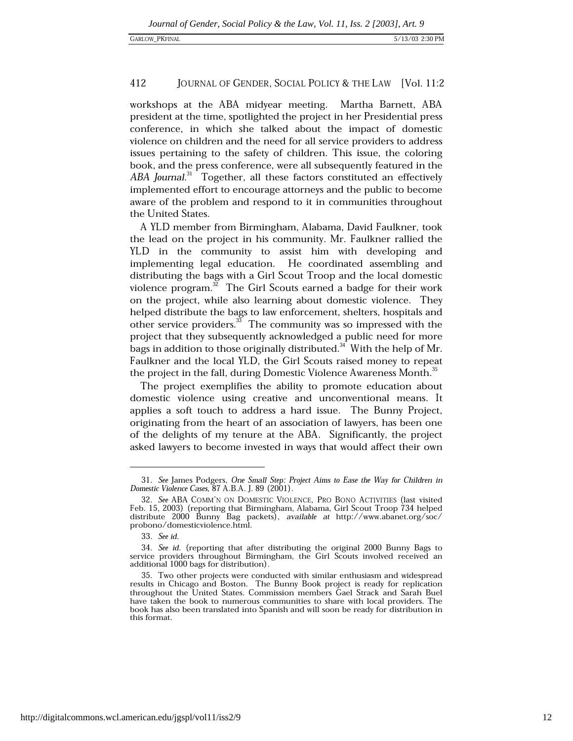workshops at the ABA midyear meeting. Martha Barnett, ABA president at the time, spotlighted the project in her Presidential press conference, in which she talked about the impact of domestic violence on children and the need for all service providers to address issues pertaining to the safety of children. This issue, the coloring book, and the press conference, were all subsequently featured in the ABA Journal.<sup>31</sup> Together, all these factors constituted an effectively implemented effort to encourage attorneys and the public to become aware of the problem and respond to it in communities throughout the United States.

A YLD member from Birmingham, Alabama, David Faulkner, took the lead on the project in his community. Mr. Faulkner rallied the YLD in the community to assist him with developing and implementing legal education. He coordinated assembling and distributing the bags with a Girl Scout Troop and the local domestic violence program. $^{32}$  The Girl Scouts earned a badge for their work on the project, while also learning about domestic violence. They helped distribute the bags to law enforcement, shelters, hospitals and other service providers.<sup>33</sup> The community was so impressed with the project that they subsequently acknowledged a public need for more bags in addition to those originally distributed.<sup>34</sup> With the help of Mr. Faulkner and the local YLD, the Girl Scouts raised money to repeat the project in the fall, during Domestic Violence Awareness Month.<sup>35</sup>

The project exemplifies the ability to promote education about domestic violence using creative and unconventional means. It applies a soft touch to address a hard issue. The Bunny Project, originating from the heart of an association of lawyers, has been one of the delights of my tenure at the ABA. Significantly, the project asked lawyers to become invested in ways that would affect their own

<sup>31.</sup> See James Podgers, One Small Step: Project Aims to Ease the Way for Children in Domestic Violence Cases, 87 A.B.A. J. 89 (2001).

<sup>32.</sup> See ABA COMM'N ON DOMESTIC VIOLENCE, PRO BONO ACTIVITIES (last visited Feb. 15, 2003) (reporting that Birmingham, Alabama, Girl Scout Troop 734 helped distribute 2000 Bunny Bag packets), available at http://www.abanet.org/soc/ probono/domesticviolence.html.

<sup>33.</sup> See id.

<sup>34.</sup> See id. (reporting that after distributing the original 2000 Bunny Bags to service providers throughout Birmingham, the Girl Scouts involved received an additional 1000 bags for distribution).

<sup>35.</sup> Two other projects were conducted with similar enthusiasm and widespread results in Chicago and Boston. The Bunny Book project is ready for replication throughout the United States. Commission members Gael Strack and Sarah Buel have taken the book to numerous communities to share with local providers. The book has also been translated into Spanish and will soon be ready for distribution in this format.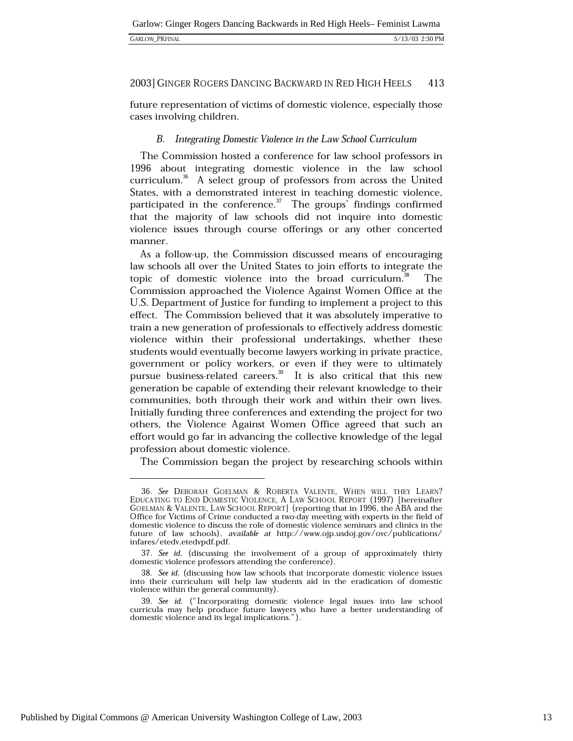future representation of victims of domestic violence, especially those cases involving children.

### B. Integrating Domestic Violence in the Law School Curriculum

The Commission hosted a conference for law school professors in 1996 about integrating domestic violence in the law school curriculum.<sup>36</sup> A select group of professors from across the United States, with a demonstrated interest in teaching domestic violence, participated in the conference. $\frac{3}{10}$  The groups' findings confirmed that the majority of law schools did not inquire into domestic violence issues through course offerings or any other concerted manner.

As a follow-up, the Commission discussed means of encouraging law schools all over the United States to join efforts to integrate the topic of domestic violence into the broad curriculum.<sup>\*</sup> The Commission approached the Violence Against Women Office at the U.S. Department of Justice for funding to implement a project to this effect. The Commission believed that it was absolutely imperative to train a new generation of professionals to effectively address domestic violence within their professional undertakings, whether these students would eventually become lawyers working in private practice, government or policy workers, or even if they were to ultimately pursue business-related careers.<sup>39</sup> It is also critical that this new generation be capable of extending their relevant knowledge to their communities, both through their work and within their own lives. Initially funding three conferences and extending the project for two others, the Violence Against Women Office agreed that such an effort would go far in advancing the collective knowledge of the legal profession about domestic violence.

The Commission began the project by researching schools within

<sup>36.</sup> See DEBORAH GOELMAN & ROBERTA VALENTE, WHEN WILL THEY LEARN? EDUCATING TO END DOMESTIC VIOLENCE, A LAW SCHOOL REPORT (1997) [hereinafter GOELMAN & VALENTE, LAW SCHOOL REPORT (reporting that in 1996, the ABA and the Office for Victims of Crime conducted a two-day meeting with experts in the field of domestic violence to discuss the role of domestic violence seminars and clinics in the future of law schools), available at http://www.ojp.usdoj.gov/ovc/publications/ infares/etedv.etedvpdf.pdf.

<sup>37.</sup> See id. (discussing the involvement of a group of approximately thirty domestic violence professors attending the conference).

<sup>38.</sup> See id. (discussing how law schools that incorporate domestic violence issues into their curriculum will help law students aid in the eradication of domestic violence within the general community).

<sup>39.</sup> See id. ("Incorporating domestic violence legal issues into law school curricula may help produce future lawyers who have a better understanding of domestic violence and its legal implications.").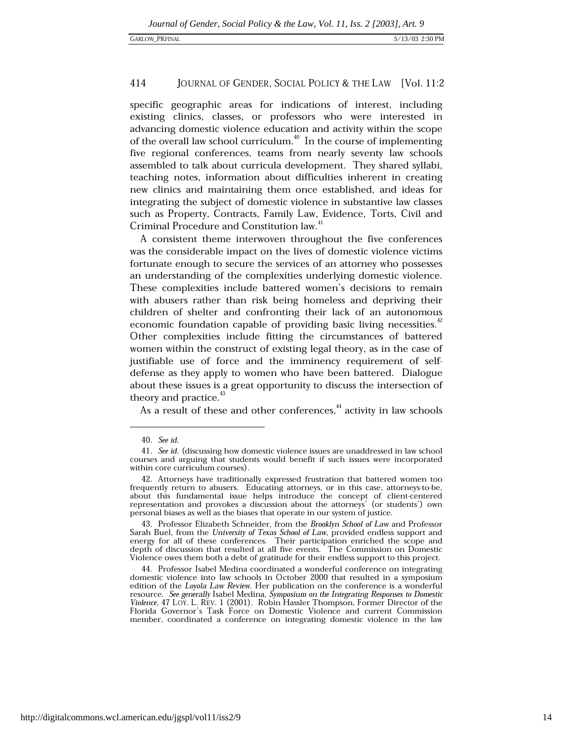specific geographic areas for indications of interest, including existing clinics, classes, or professors who were interested in advancing domestic violence education and activity within the scope of the overall law school curriculum.<sup>40</sup> In the course of implementing five regional conferences, teams from nearly seventy law schools assembled to talk about curricula development. They shared syllabi, teaching notes, information about difficulties inherent in creating new clinics and maintaining them once established, and ideas for integrating the subject of domestic violence in substantive law classes such as Property, Contracts, Family Law, Evidence, Torts, Civil and Criminal Procedure and Constitution law.<sup>41</sup>

A consistent theme interwoven throughout the five conferences was the considerable impact on the lives of domestic violence victims fortunate enough to secure the services of an attorney who possesses an understanding of the complexities underlying domestic violence. These complexities include battered women's decisions to remain with abusers rather than risk being homeless and depriving their children of shelter and confronting their lack of an autonomous economic foundation capable of providing basic living necessities.<sup>42</sup> Other complexities include fitting the circumstances of battered women within the construct of existing legal theory, as in the case of justifiable use of force and the imminency requirement of selfdefense as they apply to women who have been battered. Dialogue about these issues is a great opportunity to discuss the intersection of theory and practice.<sup>43</sup>

As a result of these and other conferences,<sup>44</sup> activity in law schools

43. Professor Elizabeth Schneider, from the Brooklyn School of Law and Professor Sarah Buel, from the University of Texas School of Law, provided endless support and energy for all of these conferences. Their participation enriched the scope and depth of discussion that resulted at all five events. The Commission on Domestic Violence owes them both a debt of gratitude for their endless support to this project.

44. Professor Isabel Medina coordinated a wonderful conference on integrating domestic violence into law schools in October 2000 that resulted in a symposium edition of the Loyola Law Review. Her publication on the conference is a wonderful resource. See generally Isabel Medina, Symposium on the Integrating Responses to Domestic Violence, 47 LOY. L. REV. 1 (2001). Robin Hassler Thompson, Former Director of the Florida Governor's Task Force on Domestic Violence and current Commission member, coordinated a conference on integrating domestic violence in the law

<sup>40.</sup> See id.

<sup>41.</sup> See id. (discussing how domestic violence issues are unaddressed in law school courses and arguing that students would benefit if such issues were incorporated within core curriculum courses).

<sup>42.</sup> Attorneys have traditionally expressed frustration that battered women too frequently return to abusers. Educating attorneys, or in this case, attorneys-to-be, about this fundamental issue helps introduce the concept of client-centered representation and provokes a discussion about the attorneys' (or students') own personal biases as well as the biases that operate in our system of justice.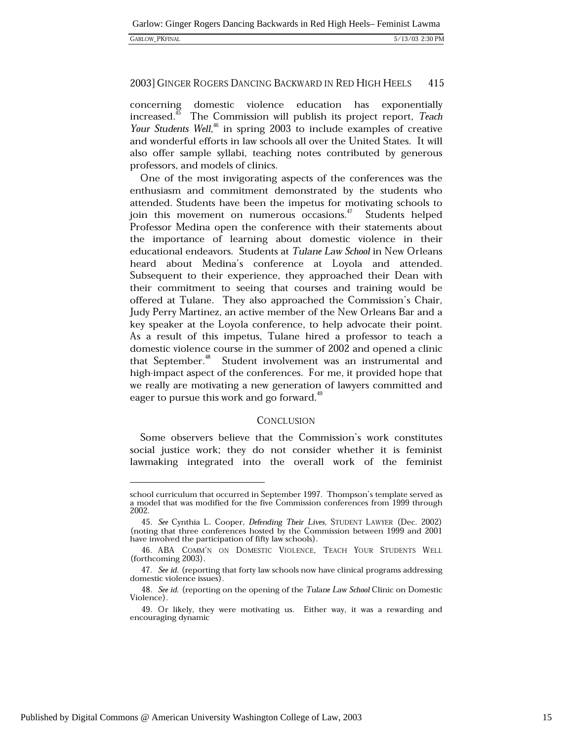| <b>GARLOW PKFINAL</b> |
|-----------------------|
|-----------------------|

domestic violence education has exponentially concerning increased.<sup>45</sup> The Commission will publish its project report, Teach Your Students Well,<sup>46</sup> in spring 2003 to include examples of creative and wonderful efforts in law schools all over the United States. It will also offer sample syllabi, teaching notes contributed by generous professors, and models of clinics.

One of the most invigorating aspects of the conferences was the enthusiasm and commitment demonstrated by the students who attended. Students have been the impetus for motivating schools to join this movement on numerous occasions.<sup>47</sup> Students helped Professor Medina open the conference with their statements about the importance of learning about domestic violence in their educational endeavors. Students at Tulane Law School in New Orleans heard about Medina's conference at Loyola and attended. Subsequent to their experience, they approached their Dean with their commitment to seeing that courses and training would be offered at Tulane. They also approached the Commission's Chair, Judy Perry Martinez, an active member of the New Orleans Bar and a key speaker at the Loyola conference, to help advocate their point. As a result of this impetus, Tulane hired a professor to teach a domestic violence course in the summer of 2002 and opened a clinic that September.<sup>48</sup> Student involvement was an instrumental and high-impact aspect of the conferences. For me, it provided hope that we really are motivating a new generation of lawyers committed and eager to pursue this work and go forward.<sup>49</sup>

### CONCLUSION

Some observers believe that the Commission's work constitutes social justice work; they do not consider whether it is feminist lawmaking integrated into the overall work of the feminist

school curriculum that occurred in September 1997. Thompson's template served as a model that was modified for the five Commission conferences from 1999 through 2002.

<sup>45.</sup> See Cynthia L. Cooper, Defending Their Lives, STUDENT LAWYER (Dec. 2002) (noting that three conferences hosted by the Commission between 1999 and 2001) have involved the participation of fifty law schools).

<sup>46.</sup> ABA COMM'N ON DOMESTIC VIOLENCE, TEACH YOUR STUDENTS WELL (forthcoming 2003).

<sup>47.</sup> See id. (reporting that forty law schools now have clinical programs addressing domestic violence issues).

<sup>48.</sup> See id. (reporting on the opening of the Tulane Law School Clinic on Domestic Violence).

<sup>49.</sup> Or likely, they were motivating us. Either way, it was a rewarding and encouraging dynamic